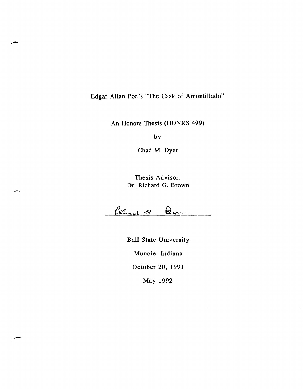Edgar Allan Poe's "The Cask of Amontillado"

An Honors Thesis (HONRS 499)

by

Chad M. Dyer

Thesis Advisor: Dr. Richard G. Brown

-

 $\overline{\phantom{0}}$ 

Rèhard Q. Bur

Ball State University Muncie, Indiana October 20, 1991 May 1992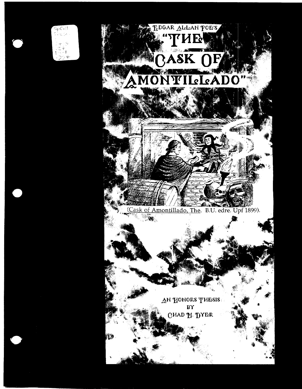

 ${\sf SpCol}$ 



AN HONORS THESIS BY OHAD 11· 'DYRR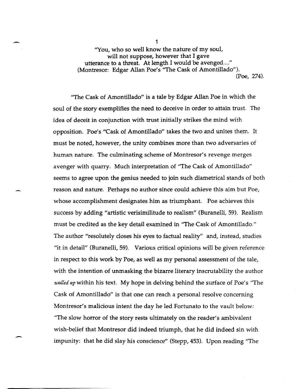- <sup>1</sup> *"You,* who so well know the nature of my soul, will not suppose, however that I gave utterance to a threat. At length I would be avenged...." (Montresor: Edgar Allan Poe's 'The Cask of Amontillado"). (Poe, 274).

> "The Cask of Amontillado" is a tale by Edgar Allan Poe in which the soul of the story exemplifies the need to deceive in order to attain trust. The idea of deceit in conjunction with trust initially strikes the mind with opposition. Poe's "Cask of Amontillado" takes the two and unites them. It must be noted, however, the unity combines more than two adversaries of human nature. The culminating scheme of Montresor's revenge merges avenger with quarry. Much interpretation of "The Cask of Amontillado" seems to agree upon the genius needed to join such diametrical stands of both reason and nature. Perhaps no author since could achieve this aim but Poe, whose accomplishment designates him as triumphant. Poe achieves this success by adding "artistic verisimilitude to realism" (Buranelli, 59). Realism must be credited as the key detail examined in "The Cask of Amontillado." The author "resolutely closes his eyes to factual reality" and, instead, studies "it in detail" (Buranelli,59). Various critical opinions will be given reference in respect to this work by Poe, as well as my personal assessment of the tale, with the intention of unmasking the bizarre literary inscrutability the author walled up within his text. My hope in delving behind the surface of Poe's "The Cask of Amontillado" is that one can reach a personal resolve concerning Montresor's malicious intent the day he led Fortunato to the vault below: "The slow horror of the story rests ultimately on the reader's ambivalent wish-belief that Montresor did indeed triumph, that he did indeed sin with impunity: that he did slay his conscience" (Stepp, 453). Upon reading "The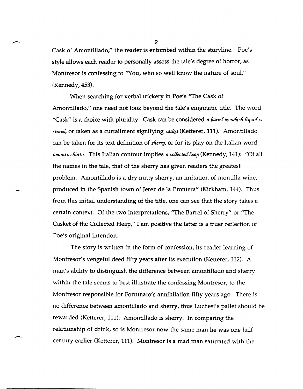Cask of Amontillado," the reader is entombed within the storyline. Poe's style allows each reader to personally assess the tale's degree of horror, as Montresor is confessing to ''You, who so well know the nature of soul," (Kennedy, 453).

When searching for verbal trickery in Poe's ''The Cask of Amontillado," one need not look beyond the tale's enigmatic title. The word "Cask" is a choice with plurality. Cask can be considered *a barrel in which liquid is stored,* or taken as a curtailment signifying *casket* (Ketterer, 111). Amontillado can be taken for its text definition of *sherry*, or for its play on the Italian word *amonticchiato.* This Italian contour implies *a collected heap* (Kennedy, 141): "Of all the names in the tale, that of the sherry has given readers the greatest problem. Amontillado is a dry nutty sherry, an imitation of montilla wine, produced in the Spanish town of Jerez de la Prontera" (Kirkham, 144). Thus from this initial understanding of the title, one can see that the story takes a certain context. Of the two interpretations, ''The Barrel of Sherry" or "The Casket of the Collected Heap," I am positive the latter is a truer reflection of Poe's original intention.

The story is written in the form of confession, its reader learning of Montresor's vengeful deed fifty years after its execution (Ketterer, 112). A man's ability to distinguish the difference between amontillado and sherry within the tale seems to best illustrate the confessing Montresor, to the Montresor responsible for Fortunato's annihilation fifty years ago. There is no difference between amontillado and sherry, thus Luchesi's pallet should be rewarded (Ketterer, 111). Amontillado is sherry. In comparing the relationship of drink, so is Montresor now the same man he was one half century earlier (Ketterer, 111). Montresor is a mad man saturated with the

2

-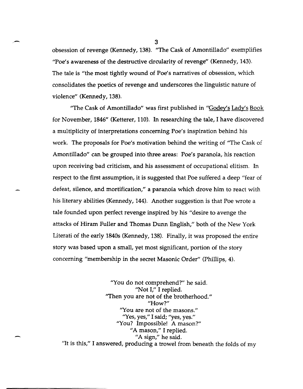obsession of revenge (Kennedy, 138). "The Cask of Amontillado" exemplifies ''Poe's awareness of the destructive circularity of revenge" (Kennedy, 143). The tale is "the most tightly wound of Poe's narratives of obsession, which consolidates the poetics of revenge and underscores the linguistic nature of violence" (Kennedy, 138).

"The Cask of Amontillado" was first published in "Godey's Lady's Book for November, 1846" (Ketterer, 110). In researching the tale, I have discovered a multiplicity of interpretations concerning Poe's inspiration behind his work. The proposals for Poe's motivation behind the writing of "The Cask of Amontillado" can be grouped into three areas: Poe's paranoia, his reaction upon receiving bad criticism, and his assessment of occupational elitism. In respect to the first assumption, it is suggested that Poe suffered a deep "fear of defeat, silence, and mortification," a paranoia which drove him to react with his literary abilities (Kennedy, 144). Another suggestion is that Poe wrote a tale founded upon perfect revenge inspired by his "desire to avenge the attacks of Hiram Fuller and Thomas Dunn English," both of the New York Literati of the early 1840s (Kennedy, 138). Finally, it was proposed the entire story was based upon a small, yet most Significant, portion of the story concerning "membership in the secret Masonic Order" (Phillips, 4).

"You do not comprehend?" he said. "Not I," I replied. "Then you are not of the brotherhood." "How?" "You are not of the masons." "Yes, yes," I said; "yes, yes." "You? Impossible! A mason?" "A mason," I replied. "A sign," he said. '1t is this," I answered, producing a trowel from beneath the folds of my

-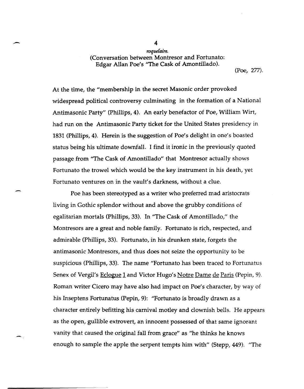*roqudaire.*  (Conversation between Montresor and Fortunato: Edgar Allan Poe's "The Cask of Amontillado).

(Poe, 277).

At the time, the "membership in the secret Masonic order provoked widespread political controversy culminating in the formation of a National Antimasonic Party" (Phillips, 4). An early benefactor of Poe, William Wirt, had run on the Antimasonic Party ticket for the United States presidency in 1831 (Phillips, 4). Herein is the suggestion of Poe's delight in one's boasted status being his ultimate downfall. I find it ironic in the previously quoted passage from "The Cask of Amontillado" that Montresor actually shows Fortunato the trowel which would be the key instrument in his death, yet Fortunato ventures on in the vault's darkness, without a clue.

-

Poe has been stereotyped as a writer who preferred mad aristocrats living in Gothic splendor without and above the grubby conditions of egalitarian mortals (Phillips, 33). In "The Cask of Amontillado," the Montresors are a great and noble family. Fortunato is rich, respected, and admirable (Phillips, 33). Fortunato, in his drunken state, forgets the antimasonic Montresors, and thus does not seize the opportunity to be suspicious (Phillips, 33). The name "Fortunato has been traced to Fortunatus Senex of Vergil's Eclogue 1 and Victor Hugo's Notre Dame de Paris (Pepin, 9). Roman writer Cicero may have also had impact on Poe's character, by way of his Inseptens Fortunatus (Pepin, 9): "Fortunato is broadly drawn as a character entirely befitting his carnival motley and clownish bells. He appears as the open, gullible extrovert, an innocent possessed of that same ignorant vanity that caused the original fall from grace" as ''he thinks he knows enough to sample the apple the serpent tempts him with" (Stepp, 449). "The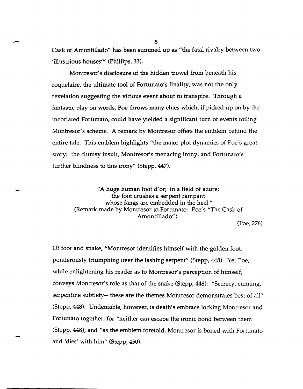- <sup>5</sup> Cask of Amontillado" has been summed up as lithe fatal rivalry between two 'illustrious houses'" (Phillips, 33).

> Montresor's disclosure of the hidden trowel from beneath his roquelaire, the ultimate tool of Fortunato's finality, was not the only revelation suggesting the vicious event about to transpire. Through a fantastic play on words, Poe throws many clues which, if picked up on by the inebriated Fortunato, could have yielded a significant turn of events foiling Montresor's scheme. A remark by Montresor offers the emblem behind the entire tale. This emblem highlights "the major plot dynamics of Poe's great story: the clumsy insult, Montresor's menacing irony, and Fortunato's further blindness to this irony" (Stepp, 447).

*"A* huge human foot d'or; in a field of azure; the foot crushes a serpent rampant whose fangs are embedded in the heel." (Remark made by Montresor to Fortunato: Poe's "The Cask of Amontillado").

(Poe, 276).

Of foot and snake, "Montresor identifies himself with the golden foot, ponderously triumphing over the lashing serpent" (Stepp, 448). Yet Poe, while enlightening his reader as to Montresor's perception of himself, conveys Montresor's role as that of the snake (Stepp, 448): "Secrecy, cunning, serpentine subtlety-- these are the themes Montresor demonstrates best of all" (Stepp, 448). Undeniable, however, is death's embrace locking Montresor and Fortunato together, for "neither can escape the ironic bond between them (Stepp, 448), and "as the emblem foretold, Montresor is boned with Fortunato and 'dies' with him" (Stepp, 450).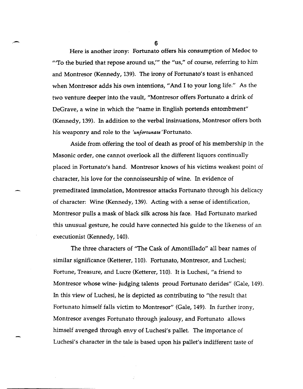Here is another irony: Fortunato offers his consumption of Medoc to "To the buried that repose around us," the "us," of course, referring to him and Montresor (Kennedy, 139). The irony of Fortunato's toast is enhanced when Montresor adds his own intentions, "And I to your long life." As the two venture deeper into the vault, "Montresor offers Fortunato a drink of DeGrave, a wine in which the "name in English portends entombment" (Kennedy, 139). In addition to the verbal insinuations, Montresor offers both his weaponry and role to the *lunfortunate* 'Fortunato.

Aside from offering the tool of death as proof of his membership in the Masonic order, one cannot overlook all the different liquors continually placed in Fortunato's hand. Montresor knows of his victims weakest point of character, his love for the connoisseurship of wine. In evidence of premeditated immolation, Montressor attacks Fortunato through his delicacy of character: Wine (Kennedy, 139). Acting with a sense of identification, Montresor pulls a mask of black silk across his face. Had Fortunato marked this unusual gesture, he could have connected his guide to the likeness of an executionist (Kennedy, 140).

The three characters of "The Cask of Amontillado" all bear names of similar significance (Ketterer, 110). Fortunato, Montresor, and Luchesi; Fortune, Treasure, and Lucre (Ketterer, 110). It is Luchesi, "a friend to Montresor whose wine- judging talents proud Fortunato derides" (Gale, 149). In this view of Luchesi, he is depicted as contributing to "the result that Fortunato himself falls victim to Montresor" (Gale, 149). In further irony, Montresor avenges Fortunato through jealousy, and Fortunato allows himself avenged through envy of Luchesi's pallet. The importance of Luchesi's character in the tale is based upon his pallet's indifferent taste of

 $\sim$  6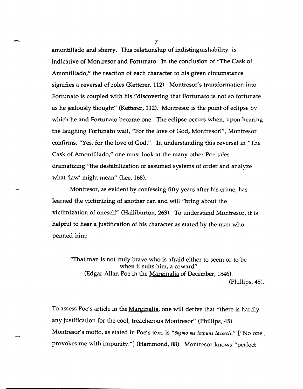amontillado and sherry. This relationship of indistinguishability is indicative of Montresor and Fortunato. In the conclusion of "The Cask of Amontillado," the reaction of each character to his given circumstance signifies a reversal of roles (Ketterer, 112). Montresor's transformation into Fortunato is coupled with his "discovering that Fortunato is not so fortunate as he jealously thought" (Ketterer, 112). Montresor is the point of eclipse by which he and Fortunato become one. The eclipse occurs when, upon hearing the laughing Fortunato wail, "For the love of God, Montresor!", Montresor confirms, "Yes, for the love of God.". In understanding this reversal in "The Cask of Amontillado," one must look at the many other Poe tales dramatizing "the destabilization of assumed systems of order and analyze what 'law' might mean" (Lee, 168).

Montresor, as evident by confessing fifty years after his crime, has learned the victimizing of another can and will "bring about the victimization of oneself' (Halliburton, 263). To understand Montresor, it is helpful to hear a justification of his character as stated by the man who penned him:

"That man is not truly brave who is afraid either to seem or to be when it suits him, a coward" (Edgar Allan Poe in the Marginalia of December, 1846). (Phillips, 45).

To assess Poe's article in the <u>Marginalia</u>, one will derive that "there is hardly any justification for the cool, treacherous Montresor" (Phillips, 45). Montresor's motto, as stated in Poe's text, is "Nemo me impune lacessit." ['No one provokes me with impunity."] (Hammond, 88). Montresor knows "perfect

 $\sim$  7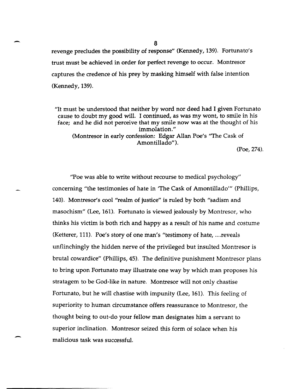revenge precludes the possibility of response" (Kennedy, 139). Fortunato'S trust must be achieved in order for perfect revenge to occur. Montresor captures the credence of his prey by masking himself with false intention (Kennedy, 139).

"It must be understood that neither by word nor deed had I given Fortunato cause to doubt my good will. I continued, as was my wont, to smile in his face; and he did not perceive that my smile now was at the thought of his immolation." (Montresor in early confession: Edgar Allan Poe's "The Cask of Amontillado").

(Poe, 274).

"Poe was able to write without recourse to medical psychology" concerning "the testimonies of hate in 'The Cask of Amontillado'" (Phillips, 140). Montresor's cool "realm of justice" is ruled by both "sadism and masochism" (Lee, 161). Fortunato is viewed jealously by Montresor, who thinks his victim is both rich and happy as a result of his name and costume (Ketterer, 111). Poe's story of one man's "testimony of hate, .... reveals unflinchingly the hidden nerve of the privileged but insulted Montresor is brutal cowardice" (Phillips, 45). The definitive punishment Montresor plans to bring upon Fortunato may illustrate one way by which man proposes his stratagem to be God-like in nature. Montresor will not only chastise Fortunato, but he will chastise with impunity (Lee, 161). This feeling of superiority to human circumstance offers reassurance to Montresor, the thought being to out-do your fellow man designates him a servant to superior inclination. Montresor seized this form of solace when his malicious task was successful.

-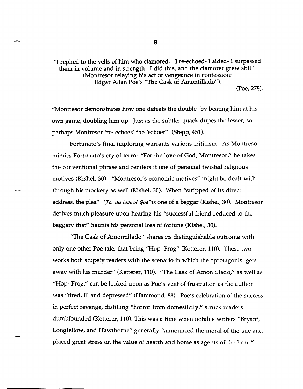''1 replied to the yells of him who clamored. I re-echoed- I aided- I surpassed them in volume and in strength. I did this, and the clamorer grew still." (Montresor relaying his act of vengeance in confession: Edgar Allan Poe's "The Cask of Amontillado"). (Poe, 278).

"Montresor demonstrates how one defeats the double- by beating him at his own game, doubling him up. Just as the subtler quack dupes the lesser, so perhaps Montresor 're- echoes' the 'echoer'" (Stepp, 451).

Fortunato's final imploring warrants various criticism. As Montresor mimics Fortunato's cry of terror "For the love of God, Montresor," he takes the conventional phrase and renders it one of personal twisted religious motives (Kishel, 30). "Montresor's economic motives" might be dealt with through his mockery as well (Kishel, 30). When "stripped of its direct address, the plea" *\*For the love of God*" is one of a beggar (Kishel, 30). Montresor derives much pleasure upon hearing his "successful friend reduced to the beggary that" haunts his personal loss of fortune (Kishel, 30).

"The Cask of Amontillado" shares its distinguishable outcome with only one other Poe tale, that being ''Hop- Frog" (Ketterer, 110). These two works both stupefy readers with the scenario in which the "protagonist gets away with his murder" (Ketterer, 110). ''The Cask of Amontillado," as well as "Hop- Frog," can be looked upon as Poe's vent of frustration as the author was "tired, ill and depressed" (Hammond,88). Poe's celebration of the success in perfect revenge, distilling "horror from domesticity," struck readers dumbfounded (Ketterer, 110). This was a time when notable writers "Bryant, Longfellow, and Hawthorne" generally "announced the moral of the tale and placed great stress on the value of hearth and home as agents of the heart"

9

.-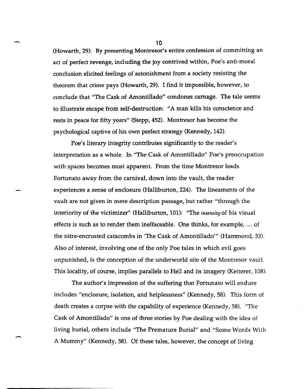(Howarth,29). By presenting Montresor's entire confession of committing an act of perfect revenge, including the joy contrived within, Poe's anti-moral conclusion elicited feelings of astonishment from a society resisting the theorem that crime pays (Howarth, 29). I find it impossible, however, to conclude that "The Cask of Amontillado" condones carnage. The tale seems to illustrate escape from self-destruction: "A man kills his conscience and rests in peace for fifty years" (Stepp,452). Montresor has become the psychological captive of his own perfect strategy (Kennedy, 142),

Poe's literary integrity contributes significantly to the reader's interpretation as a whole. In "The Cask of Amontillado" Poe's preoccupation with spaces becomes most apparent. From the time Montresor leads Fortunato away from the carnival, down into the vault, the reader experiences a sense of enclosure (Halliburton, 224). The lineaments of the vault are not given in mere description passage, but rather "through the interiority of the victimizer" (Halliburton, 101): "The *intensity* of his visual effects is such as to render them ineffaceable. One thinks, for example, .... of the nitre-encrusted catacombs in 'The Cask of Amontillado'" (Hannnond, 33). Also of interest, involving one of the only Poe tales in which evil goes unpunished, is the conception of the underworld site of the Montresor vault. This locality, of course, implies parallels to Hell and its imagery (Ketterer, 108).

The author's impression of the suffering that Fortunato will endure includes "enclosure, isolation, and helplessness" (Kennedy, 58). This form of death creates a corpse with the capability of experience (Kennedy, 58). "The Cask of Amontillado" is one of three stories by Poe dealing with the idea of living burial, others include "The Premature Burial" and "Some Words With A Mummy" (Kennedy, 58). Of these tales, however, the concept of living

-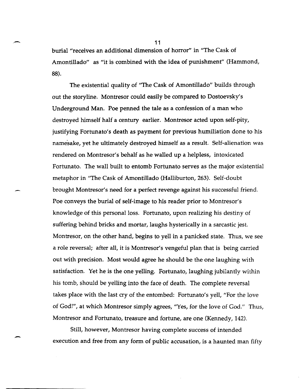burial "receives an additional dimension of horror" in "The Cask of Amontillado" as "it is combined with the idea of punishment" (Hammond, 88).

The existential quality of "The Cask of Amontillado" builds through out the storyline. Montresor could easily be compared to Dostoevsky's Underground Man. Poe penned the tale as a confession of a man who destroyed himself half a century earlier. Montresor acted upon self-pity, justifying Fortunato's death as payment for previous humiliation done to his namesake, yet he ultimately destroyed himself as a result. Self-alienation was rendered on Montresor's behalf as he walled up a helpless, intoxicated Fortunato. The wall built to entomb Fortunato serves as the major existential metaphor in "The Cask of Amontillado (Halliburton, 263). Self-doubt brought Montresor's need for a perfect revenge against his successful friend. Poe conveys the burial of self-image to his reader prior to Montresor's knowledge of this personal loss. Fortunato, upon realizing his destiny of suffering behind bricks and mortar, laughs hysterically in a sarcastic jest. Montresor, on the other hand, begins to yell in a panicked state. Thus, we see a role reversal; after all, it is Montresor's vengeful plan that is being carried out with precision. Most would agree he should be the one laughing with satisfaction. Yet he is the one yelling. Fortunato, laughing jubilantly within his tomb, should be yelling into the face of death. The complete reversal takes place with the last cry of the entombed: Fortunato's yell, "For the love of God!", at which Montresor simply agrees, "Yes, for the love of God." Thus, Montresor and Fortunato, treasure and fortune, are one (Kennedy, 142).

Still, however, Montresor having complete success of intended execution and free from any form of public accusation, is a haunted man fifty

.-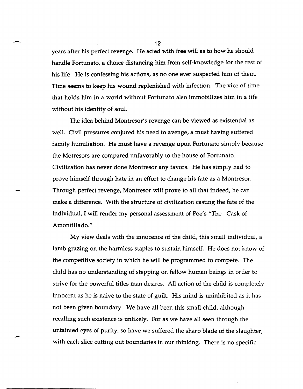years after his perfect revenge. He acted with free will as to how he should handle Fortunato, a choice distancing him from self-knowledge for the rest of his life. He is confessing his actions, as no one ever suspected him of them. Time seems to keep his wound replenished with infection. The vice of time that holds him in a world without Fortunato also immobilizes him in a life without his identity of soul.

The idea behind Montresor's revenge can be viewed as existential as well. Civil pressures conjured his need to avenge, a must having suffered family humiliation. He must have a revenge upon Fortunato simply because the Motresors are compared unfavorably to the house of Fortunato. Civilization has never done Montresor any favors. He has simply had to prove himself through hate in an effort to change his fate as a Montresor. Through perfect revenge, Montresor will prove to all that indeed, he can make a difference. With the structure of civilization casting the fate of the individual, I will render my personal assessment of Poe's "The Cask of Amontillado."

My view deals with the innocence of the child, this small individual, a lamb grazing on the harmless staples to sustain himself. He does not know of the competitive society in which he will be programmed to compete. The child has no understanding of stepping on fellow human beings in order to strive for the powerful titles man desires. All action of the child is completely innocent as he is naive to the state of guilt. His mind is uninhibited as it has not been given boundary. We have all been this small child, although recalling such existence is unlikely. For as we have all seen through the untainted eyes of purity, so have we suffered the sharp blade of the slaughter, with each slice cutting out boundaries in our thinking. There is no specific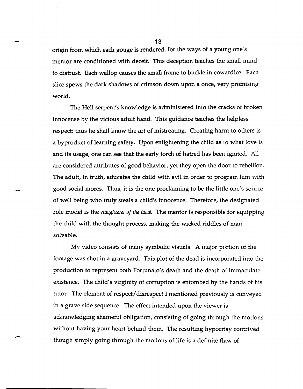origin from which each gouge is rendered, for the ways of a young one's mentor are conditioned with deceit. This deception teaches the small mind to distrust. Each wallop causes the small frame to buckle in cowardice. Each slice spews the dark shadows of crimson down upon a once, very promising world.

The Hell serpent's knowledge is administered into the cracks of broken innocense by the vicious adult hand. This guidance teaches the helpless respect; thus he shall know the art of mistreating. Creating harm to others is a byproduct of learning safety. Upon enlightening the child as to what love is and its usage, one can see that the early torch of hatred has been ignited. All are considered attributes of good behavior, yet they open the door to rebellion. The adult, in truth, educates the child with evil in order to program him with good social mores. Thus, it is the one proclaiming to be the little one's source of well being who truly steals a child's innocence. Therefore, the designated role model is the *slaughterer of the lamb*. The mentor is responsible for equipping the child with the thought process, making the wicked riddles of man solvable.

My video consists of many symbolic visuals. A major portion of the footage was shot in a graveyard. This plot of the dead is incorporated into the production to represent both Fortunato's death and the death of immaculate existence. The child's virginity of corruption is entombed by the hands of his tutor. The element of respect/ disrespect I mentioned previously is conveyed in a grave side sequence. The effect intended upon the viewer is acknowledging shameful obligation, consisting of going through the motions without having your heart behind them. The resulting hypocrisy contrived though simply going through the motions of life is a definite flaw of

13

-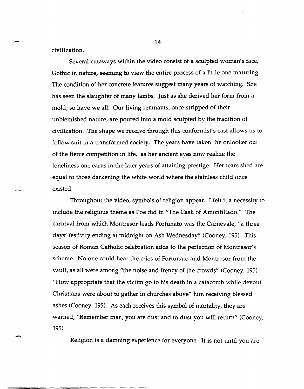civilization.

-

-

Several cutaways within the video consist of a sculpted woman's face, Gothic in nature, seeming to view the entire process of a little one maturing. The condition of her concrete features suggest many years of watching. She has seen the slaughter of many lambs. Just as she derived her form from a mold, so have we all. Our living remnants, once stripped of their unblemished nature, are poured into a mold sculpted by the tradition of civilization. The shape we receive through this conformist's cast allows us to follow suit in a transformed society. The years have taken the onlooker out of the fierce competition in life, as her ancient eyes now realize the loneliness one earns in the later years of attaining prestige. Her tears shed are equal to those darkening the white world where the stainless child once existed.

Throughout the video, symbols of religion appear. I felt it a necessity to include the religious theme as Poe did in "The Cask of Amontillado." The carnival from which Montresor leads Fortunato was the Carnevale, "a three days' festivity ending at midnight on Ash Wednesday" (Cooney, 195). This season of Roman Catholic celebration adds to the perfection of Montresor's scheme. No one could hear the cries of Fortunato and Montresor from the vault, as all were among "the noise and frenzy of the crowds" (Cooney, 195). "How appropriate that the victim go to his death in a catacomb while devout Christians were about to gather in churches above" him receiving blessed ashes (Cooney, 195). As each receives this symbol of mortality, they are warned, "Remember man, you are dust and to dust you will return" (Cooney, 195).

Religion is a damning experience for everyone. It is not until you are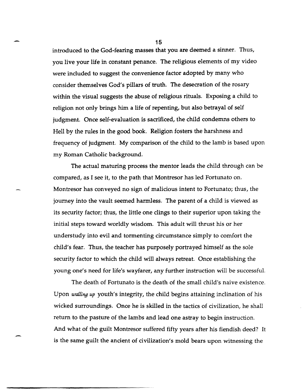introduced to the God-fearing masses that you are deemed a sinner. Thus, you live your life in constant penance. The religious elements of my video were included to suggest the convenience factor adopted by many who consider themselves God's pillars of truth. The desecration of the rosary within the visual suggests the abuse of religious rituals. Exposing a child to religion not only brings him a life of repenting, but also betrayal of self judgment. Once self-evaluation is sacrificed, the child condemns others to Hell by the rules in the good book. Religion fosters the harshness and frequency of judgment. My comparison of the child to the lamb is based upon my Roman Catholic background.

The actual maturing process the mentor leads the child through can be compared, as I see it, to the path that Montresor has led Fortunato on. Montresor has conveyed no sign of malicious intent to Fortunato; thus, the journey into the vault seemed harmless. The parent of a child is viewed as its security factor; thus, the little one clings to their superior upon taking the initial steps toward worldly wisdom. This adult will thrust his or her understudy into evil and tormenting circumstance simply to comfort the child's fear. Thus, the teacher has purposely portrayed himself as the sole security factor to which the child will always retreat. Once establishing the young one's need for life's wayfarer, any further instruction will be successful.

The death of Fortunato is the death of the small child's naive existence. Upon walling up youth's integrity, the child begins attaining inclination of his wicked surroundings. Once he is skilled in the tactics of civilization, he shall return to the pasture of the lambs and lead one astray to begin instruction. And what of the guilt Montresor suffered fifty years after his fiendish deed? It is the same guilt the ancient of civilization's mold bears upon witnessing the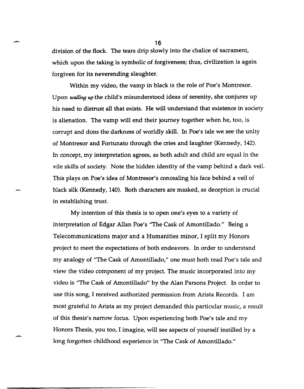division of the flock. The tears drip slowly into the chalice of sacrament, which upon the taking is symbolic of forgiveness; thus, civilization is again forgiven for its neverending slaughter.

Within my video, the vamp in black is the role of Poe's Montresor. Upon walling up the child's misunderstood ideas of serenity, she conjures up his need to distrust all that exists. He will understand that existence in society is alienation. The vamp will end their journey together when he, too, is corrupt and dons the darkness of worldly skill. In Poe's tale we see the unity of Montresor and Fortunato through the cries and laughter (Kennedy, 142). In concept, my interpretation agrees, as both adult and child are equal in the vile skills of society. Note the hidden identity of the vamp behind a dark veil. This plays on Poe's idea of Montresor's concealing his face behind a veil of black silk (Kennedy, 140). Both characters are masked, as deception is crucial in establishing trust.

My intention of this thesis is to open one's eyes to a variety of interpretation of Edgar Allan Poe's "The Cask of Amontillado." Being a Telecommunications major and a Humanities minor, I split my Honors project to meet the expectations of both endeavors. In order to understand my analogy of ''The Cask of Amontillado," one must both read Poe's tale and view the video component of my project. The music incorporated into my video is ''The Cask of Amontillado" by the Alan Parsons Project. In order to use this song, I received authorized permission from Arista Records. I am most grateful to Arista as my project demanded this particular music, a result of this thesis's narrow focus. Upon experiencing both Poe's tale and my Honors Thesis, you too, I imagine, will see aspects of yourself instilled by a long forgotten childhood experience in "The Cask of Amontillado."

-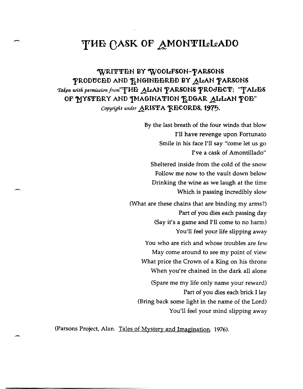## **THE CASK OF AMONTILLADO**

WRITTEN BY WOOLFSON-PARSONS PRODUCED AND ENGINEERED BY ALAN PARSONS Taken with permission from<sup>"</sup>THE ALAN PARSONS PROJECT; "TALES OF MYSTERY AND IMAGINATION FOGAR ALLAN POE" *Copyright under ARISTA RECORDS, 1975.* 

> By the last breath of the four winds that blow I'll have revenge upon Fortunato Smile in his face I'll say "come let us go I've a cask of Amontillado" Sheltered inside from the cold of the snow Follow me now to the vault down below Drinking the wine as we laugh at the time Which is passing incredibly slow (What are these chains that are binding my arms?) Part of you dies each passing day (Say it's a game and I'll come to no harm) You'll feel your life slipping away You who are rich and whose troubles are few May come around to see my point of view What price the Crown of a King on his throne When you're chained in the dark all alone (Spare me my life only name your reward) Part of you dies each brick I lay (Bring back some light in the name of the Lord) You'll feel your mind slipping away

(Parsons Project, Alan. Tales of Mystery and Imagination 1976).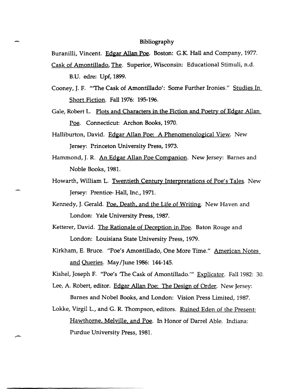## Bibliography

Buranilli, Vincent. Edgar Allan Poe. Boston: G.K. Hall and Company, 1977. Cask of Amontillado, The. Superior, Wisconsin: Educational Stimuli, n.d.

B.U. edre: Upf, 1899.

Cooney, J. F. "'The Cask of Amontillado': Some Further Ironies." Studies In Short Fiction. Fall 1976: 195-196.

Gale, Robert L. Plots and Characters in the Fiction and Poetry of Edgar Allan Poe. Connecticut: Archon Books, 1970.

Halliburton, David. Edgar Allan Poe: A Phenomenological View. New Jersey: Princeton University Press, 1973.

- Hammond, J. R. An Edgar Allan Poe Companion. New Jersey: Barnes and Noble Books, 1981.
- Howarth, William L. Twentieth Century Interpretations of Poe's Tales. New Jersey: Prentice- Hall, Inc., 1971.
- Kennedy, J. Gerald. Poe, Death, and the Life of Writing. New Haven and London: Yale University Press, 1987.
- Ketterer, David. The Rationale of Deception in Poe. Baton Rouge and London: Louisiana State University Press, 1979.
- Kirkham, E. Bruce. "Poe's Amontillado, One More Time." American Notes and Queries. May/June 1986: 144-145.

Kishel, Joseph F. "Poe's 'The Cask of Amontillado.'" Explicator. Fall 1982: 30.

Lee, A. Robert, editor. Edgar Allan Poe: The Design of Order. New Jersey: Barnes and Nobel Books, and London: Vision Press Limited, 1987.

Lokke, Virgil L., and G. R. Thompson, editors. <u>Ruined Eden of the Present:</u> Hawthorne, Melville, and Poe. In Honor of Darrel Able. Indiana: Purdue University Press, 1981.